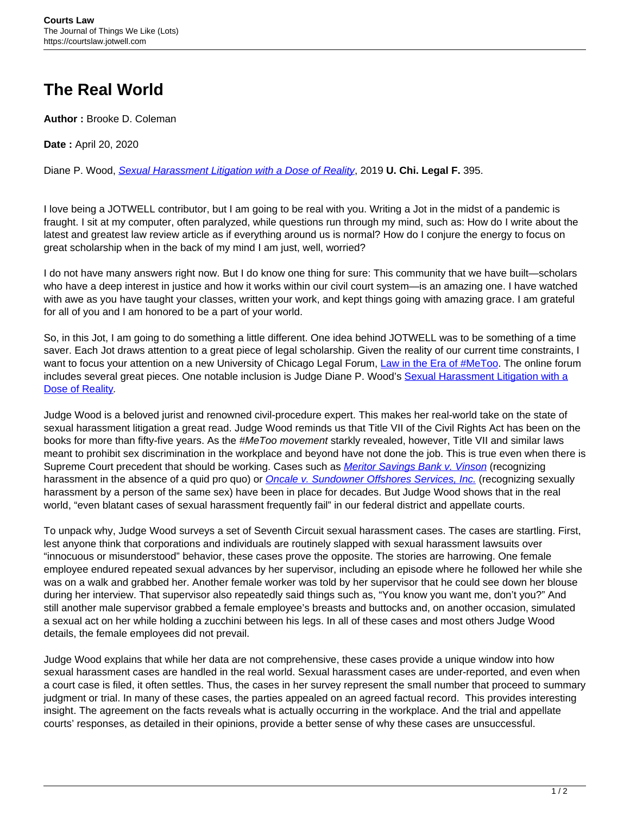## **The Real World**

**Author :** Brooke D. Coleman

**Date :** April 20, 2020

Diane P. Wood, [Sexual Harassment Litigation with a Dose of Reality](https://legal-forum.uchicago.edu/publication/sexual-harassment-litigation-dose-reality), 2019 **U. Chi. Legal F.** 395.

I love being a JOTWELL contributor, but I am going to be real with you. Writing a Jot in the midst of a pandemic is fraught. I sit at my computer, often paralyzed, while questions run through my mind, such as: How do I write about the latest and greatest law review article as if everything around us is normal? How do I conjure the energy to focus on great scholarship when in the back of my mind I am just, well, worried?

I do not have many answers right now. But I do know one thing for sure: This community that we have built—scholars who have a deep interest in justice and how it works within our civil court system—is an amazing one. I have watched with awe as you have taught your classes, written your work, and kept things going with amazing grace. I am grateful for all of you and I am honored to be a part of your world.

So, in this Jot, I am going to do something a little different. One idea behind JOTWELL was to be something of a time saver. Each Jot draws attention to a great piece of legal scholarship. Given the reality of our current time constraints, I want to focus your attention on a new University of Chicago Legal Forum, [Law in the Era of #MeToo](https://legal-forum.uchicago.edu/). The online forum includes several great pieces. One notable inclusion is Judge Diane P. Wood's [Sexual Harassment Litigation with a](https://legal-forum.uchicago.edu/publication/sexual-harassment-litigation-dose-reality) [Dose of Reality](https://legal-forum.uchicago.edu/publication/sexual-harassment-litigation-dose-reality).

Judge Wood is a beloved jurist and renowned civil-procedure expert. This makes her real-world take on the state of sexual harassment litigation a great read. Judge Wood reminds us that Title VII of the Civil Rights Act has been on the books for more than fifty-five years. As the #MeToo movement starkly revealed, however, Title VII and similar laws meant to prohibit sex discrimination in the workplace and beyond have not done the job. This is true even when there is Supreme Court precedent that should be working. Cases such as *[Meritor Savings Bank v. Vinson](https://1.next.westlaw.com/Document/I178658b59c1f11d993e6d35cc61aab4a/View/FullText.html?navigationPath=Search%2Fv1%2Fresults%2Fnavigation%2Fi0ad73aa60000017175174d922c926539%3FNav%3DCASE%26fragmentIdentifier%3DI178658b59c1f11d993e6d35cc61aab4a%26parentRank%3D0%26startIndex%3D1%26contextData%3D%2528sc.Search%2529%26transitionType%3DSearchItem&listSource=Search&listPageSource=943061e758a3672f92f3c565262b9c16&list=CASE&rank=1&sessionScopeId=f7e035ca818cef457ac1a23d96027ff01f1dfbae7894ba8cd09f01f0238ec686&originationContext=Smart%20Answer&transitionType=SearchItem&contextData=%28sc.Search%29)* (recognizing harassment in the absence of a quid pro quo) or **Oncale v. Sundowner Offshores Services**, Inc. (recognizing sexually harassment by a person of the same sex) have been in place for decades. But Judge Wood shows that in the real world, "even blatant cases of sexual harassment frequently fail" in our federal district and appellate courts.

To unpack why, Judge Wood surveys a set of Seventh Circuit sexual harassment cases. The cases are startling. First, lest anyone think that corporations and individuals are routinely slapped with sexual harassment lawsuits over "innocuous or misunderstood" behavior, these cases prove the opposite. The stories are harrowing. One female employee endured repeated sexual advances by her supervisor, including an episode where he followed her while she was on a walk and grabbed her. Another female worker was told by her supervisor that he could see down her blouse during her interview. That supervisor also repeatedly said things such as, "You know you want me, don't you?" And still another male supervisor grabbed a female employee's breasts and buttocks and, on another occasion, simulated a sexual act on her while holding a zucchini between his legs. In all of these cases and most others Judge Wood details, the female employees did not prevail.

Judge Wood explains that while her data are not comprehensive, these cases provide a unique window into how sexual harassment cases are handled in the real world. Sexual harassment cases are under-reported, and even when a court case is filed, it often settles. Thus, the cases in her survey represent the small number that proceed to summary judgment or trial. In many of these cases, the parties appealed on an agreed factual record. This provides interesting insight. The agreement on the facts reveals what is actually occurring in the workplace. And the trial and appellate courts' responses, as detailed in their opinions, provide a better sense of why these cases are unsuccessful.